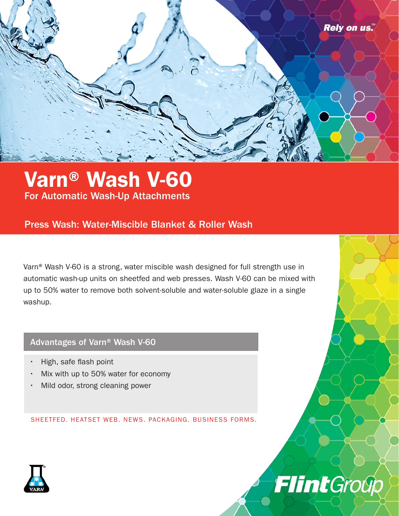

## Varn® Wash V-60 For Automatic Wash-Up Attachments

### Press Wash: Water-Miscible Blanket & Roller Wash

Varn® Wash V-60 is a strong, water miscible wash designed for full strength use in automatic wash-up units on sheetfed and web presses. Wash V-60 can be mixed with up to 50% water to remove both solvent-soluble and water-soluble glaze in a single washup.

FlintGroup

### Advantages of Varn® Wash V-60

- High, safe flash point
- Mix with up to 50% water for economy
- Mild odor, strong cleaning power

SHEETFED. HEATSET WEB. NEWS. PACKAGING. BUSINESS FORMS.